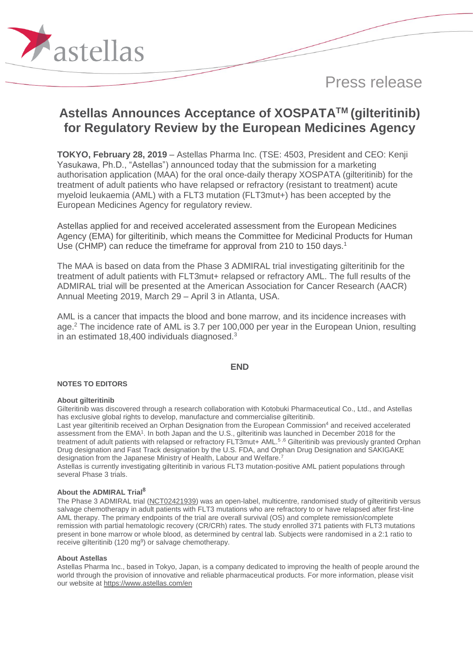

# **Astellas Announces Acceptance of XOSPATATM (gilteritinib) for Regulatory Review by the European Medicines Agency**

**TOKYO, February 28, 2019** – Astellas Pharma Inc. (TSE: 4503, President and CEO: Kenji Yasukawa, Ph.D., "Astellas") announced today that the submission for a marketing authorisation application (MAA) for the oral once-daily therapy XOSPATA (gilteritinib) for the treatment of adult patients who have relapsed or refractory (resistant to treatment) acute myeloid leukaemia (AML) with a FLT3 mutation (FLT3mut+) has been accepted by the European Medicines Agency for regulatory review.

Astellas applied for and received accelerated assessment from the European Medicines Agency (EMA) for gilteritinib, which means the Committee for Medicinal Products for Human Use (CHMP) can reduce the timeframe for approval from 210 to 150 days. 1

The MAA is based on data from the Phase 3 ADMIRAL trial investigating gilteritinib for the treatment of adult patients with FLT3mut+ relapsed or refractory AML. The full results of the ADMIRAL trial will be presented at the American Association for Cancer Research (AACR) Annual Meeting 2019, March 29 – April 3 in Atlanta, USA.

AML is a cancer that impacts the blood and bone marrow, and its incidence increases with age.<sup>2</sup> The incidence rate of AML is 3.7 per 100,000 per year in the European Union, resulting in an estimated 18,400 individuals diagnosed.<sup>3</sup>

## **END**

## **NOTES TO EDITORS**

#### **About gilteritinib**

Aastellas

Gilteritinib was discovered through a research collaboration with Kotobuki Pharmaceutical Co., Ltd., and Astellas has exclusive global rights to develop, manufacture and commercialise gilteritinib.

Last year gilteritinib received an Orphan Designation from the European Commission<sup>4</sup> and received accelerated assessment from the EMA<sup>1</sup>. In both Japan and the U.S., gilteritinib was launched in December 2018 for the treatment of adult patients with relapsed or refractory FLT3mut+ AML.<sup>5</sup> ,6 Gilteritinib was previously granted Orphan Drug designation and Fast Track designation by the U.S. FDA, and Orphan Drug Designation and SAKIGAKE designation from the Japanese Ministry of Health, Labour and Welfare.<sup>7</sup>

Astellas is currently investigating gilteritinib in various FLT3 mutation-positive AML patient populations through several Phase 3 trials.

## **About the ADMIRAL Trial<sup>8</sup>**

The Phase 3 ADMIRAL trial [\(NCT02421939\)](https://clinicaltrials.gov/ct2/show/NCT02421939) was an open-label, multicentre, randomised study of gilteritinib versus salvage chemotherapy in adult patients with FLT3 mutations who are refractory to or have relapsed after first-line AML therapy. The primary endpoints of the trial are overall survival (OS) and complete remission/complete remission with partial hematologic recovery (CR/CRh) rates. The study enrolled 371 patients with FLT3 mutations present in bone marrow or whole blood, as determined by central lab. Subjects were randomised in a 2:1 ratio to receive gilteritinib (120 mg<sup>9</sup>) or salvage chemotherapy.

#### **About Astellas**

Astellas Pharma Inc., based in Tokyo, Japan, is a company dedicated to improving the health of people around the world through the provision of innovative and reliable pharmaceutical products. For more information, please visit our website a[t https://www.astellas.com/en](https://www.astellas.com/en)